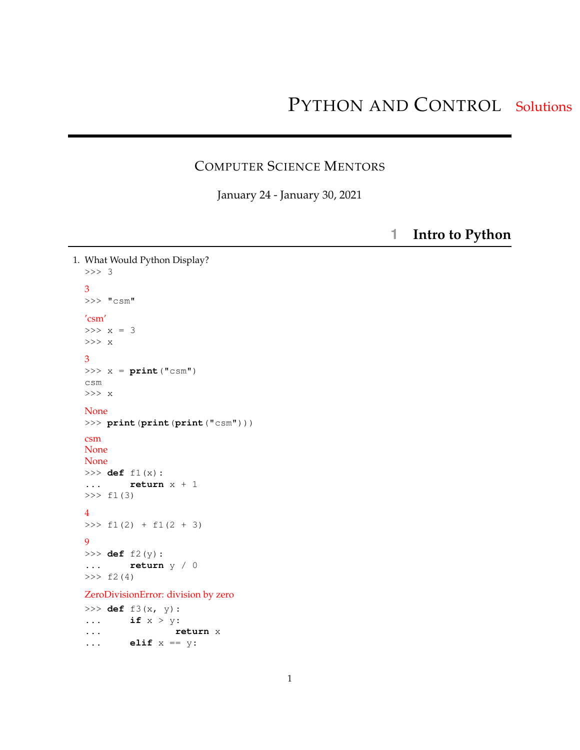## COMPUTER SCIENCE MENTORS

January 24 - January 30, 2021

**1 Intro to Python**

```
1. What Would Python Display?
  >>> 3
  3
 >>> "csm"
  'csm'
  >> x = 3>>> x
  3
  >> x = print("csm")csm
  >>> x
 None
  >>> print(print(print("csm")))
  csm
  None
  None
  >>> def f1(x):
  ... return x + 1
  >>> f1(3)
  4
  >>> f1(2) + f1(2 + 3)9
  >>> def f2(y):
  ... return y / 0
  >> f2(4)
  ZeroDivisionError: division by zero
  >>> def f3(x, y):
  ... if x > y:
  ... return x
  ... elif x == y:
```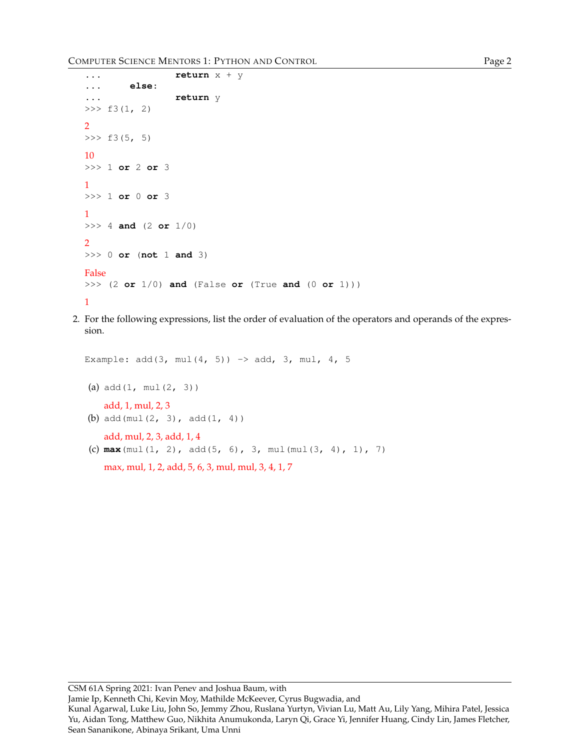```
... return x + y
... else:
... return y
\gg f3(1, 2)
2
>> f3(5, 5)
10
>>> 1 or 2 or 3
1
>>> 1 or 0 or 3
1
>>> 4 and (2 or 1/0)
2
>>> 0 or (not 1 and 3)
False
>>> (2 or 1/0) and (False or (True and (0 or 1)))
1
```
2. For the following expressions, list the order of evaluation of the operators and operands of the expression.

```
Example: add(3, mul(4, 5)) \rightarrow add, 3, mul, 4, 5(a) add(1, mul(2, 3))add, 1, mul, 2, 3
(b) add(mul(2, 3), add(1, 4))
    add, mul, 2, 3, add, 1, 4
(c) max(mul(1, 2), add(5, 6), 3, mul(mul(3, 4), 1), 7)
   max, mul, 1, 2, add, 5, 6, 3, mul, mul, 3, 4, 1, 7
```
Jamie Ip, Kenneth Chi, Kevin Moy, Mathilde McKeever, Cyrus Bugwadia, and

Kunal Agarwal, Luke Liu, John So, Jemmy Zhou, Ruslana Yurtyn, Vivian Lu, Matt Au, Lily Yang, Mihira Patel, Jessica Yu, Aidan Tong, Matthew Guo, Nikhita Anumukonda, Laryn Qi, Grace Yi, Jennifer Huang, Cindy Lin, James Fletcher, Sean Sananikone, Abinaya Srikant, Uma Unni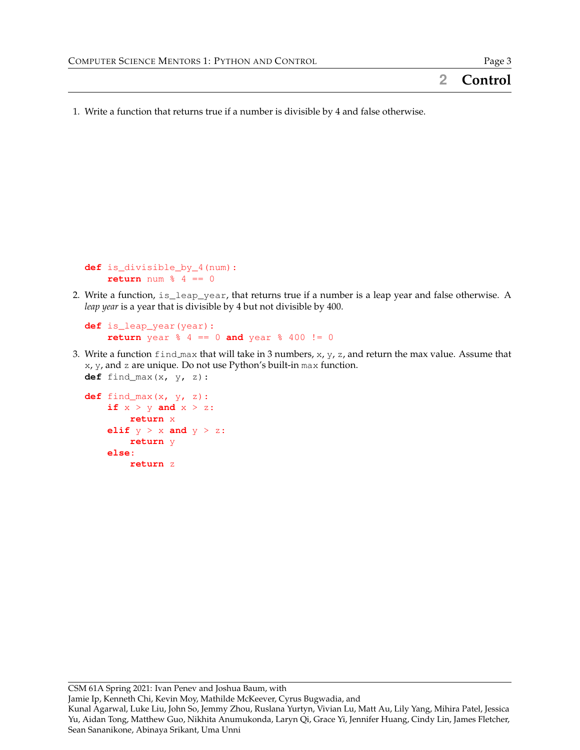1. Write a function that returns true if a number is divisible by 4 and false otherwise.

```
def is divisible by 4(num):
    return num \frac{1}{6} 4 == 0
```
2. Write a function, is\_leap\_year, that returns true if a number is a leap year and false otherwise. A *leap year* is a year that is divisible by 4 but not divisible by 400.

```
def is_leap_year(year):
    return year % 4 == 0 and year % 400 != 0
```
3. Write a function  $\text{find\_max}$  that will take in 3 numbers, x, y, z, and return the max value. Assume that  $x, y$ , and  $z$  are unique. Do not use Python's built-in max function. **def** find\_max(x, y, z):

```
def find_max(x, y, z):
    if x > y and x > z:
        return x
    elif y > x and y > z:
        return y
    else:
        return z
```
CSM 61A Spring 2021: Ivan Penev and Joshua Baum, with

Jamie Ip, Kenneth Chi, Kevin Moy, Mathilde McKeever, Cyrus Bugwadia, and

Kunal Agarwal, Luke Liu, John So, Jemmy Zhou, Ruslana Yurtyn, Vivian Lu, Matt Au, Lily Yang, Mihira Patel, Jessica Yu, Aidan Tong, Matthew Guo, Nikhita Anumukonda, Laryn Qi, Grace Yi, Jennifer Huang, Cindy Lin, James Fletcher, Sean Sananikone, Abinaya Srikant, Uma Unni